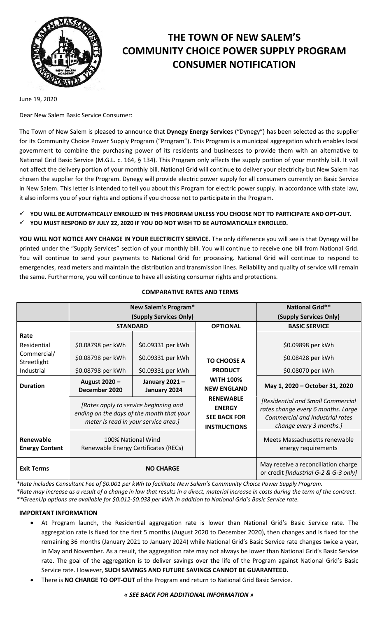

# **THE TOWN OF NEW SALEM'S COMMUNITY CHOICE POWER SUPPLY PROGRAM CONSUMER NOTIFICATION**

June 19, 2020

Dear New Salem Basic Service Consumer:

The Town of New Salem is pleased to announce that **Dynegy Energy Services** ("Dynegy") has been selected as the supplier for its Community Choice Power Supply Program ("Program"). This Program is a municipal aggregation which enables local government to combine the purchasing power of its residents and businesses to provide them with an alternative to National Grid Basic Service (M.G.L. c. 164, § 134). This Program only affects the supply portion of your monthly bill. It will not affect the delivery portion of your monthly bill. National Grid will continue to deliver your electricity but New Salem has chosen the supplier for the Program. Dynegy will provide electric power supply for all consumers currently on Basic Service in New Salem. This letter is intended to tell you about this Program for electric power supply. In accordance with state law, it also informs you of your rights and options if you choose not to participate in the Program.

**YOU WILL BE AUTOMATICALLY ENROLLED IN THIS PROGRAM UNLESS YOU CHOOSE NOT TO PARTICIPATE AND OPT-OUT.**

**YOU MUST RESPOND BY JULY 22, 2020 IF YOU DO NOT WISH TO BE AUTOMATICALLY ENROLLED.**

**YOU WILL NOT NOTICE ANY CHANGE IN YOUR ELECTRICITY SERVICE.** The only difference you will see is that Dynegy will be printed under the "Supply Services" section of your monthly bill. You will continue to receive one bill from National Grid. You will continue to send your payments to National Grid for processing. National Grid will continue to respond to emergencies, read meters and maintain the distribution and transmission lines. Reliability and quality of service will remain the same. Furthermore, you will continue to have all existing consumer rights and protections.

#### **New Salem's Program\* National Grid\*\* (Supply Services Only) (Supply Services Only) STANDARD OPTIONAL BASIC SERVICE Rate TO CHOOSE A PRODUCT WITH 100% NEW ENGLAND RENEWABLE ENERGY SEE BACK FOR INSTRUCTIONS** Residential  $\begin{array}{|c|c|c|c|c|c|}\n\hline\n8.009898 & \text{per kWh} & \text{S0.09331 per kWh} & \text{S0.09898 per kWh} \\
\hline\n\end{array}$ Commercial/ Streetlight \$0.08798 per kWh \$0.09331 per kWh \$0.08428 per kWh Industrial  $\begin{vmatrix} 50.08798 \text{ per kWh} \end{vmatrix}$   $\begin{vmatrix} 50.09331 \text{ per kWh} \end{vmatrix}$  **PRODUCT**  $\begin{vmatrix} 50.08070 \text{ per kWh} \end{vmatrix}$ **Duration August 2020 – December 2020 January 2021 – January 2024 May 1, 2020 – October 31, 2020** *[Rates apply to service beginning and ending on the days of the month that your meter is read in your service area.] [Residential and Small Commercial rates change every 6 months. Large Commercial and Industrial rates change every 3 months.]* **Renewable Energy Content** 100% National Wind Renewable Energy Certificates (RECs) Meets Massachusetts renewable energy requirements **Exit Terms NO CHARGE** May receive a reconciliation charge **NO CHARGE** or credit *[Industrial G-2 & G-3 only]*

**COMPARATIVE RATES AND TERMS**

*\*Rate includes Consultant Fee of \$0.001 per kWh to facilitate New Salem's Community Choice Power Supply Program.*

*\*Rate may increase as a result of a change in law that results in a direct, material increase in costs during the term of the contract. \*\*GreenUp options are available for \$0.012-\$0.038 per kWh in addition to National Grid's Basic Service rate.*

# **IMPORTANT INFORMATION**

- At Program launch, the Residential aggregation rate is lower than National Grid's Basic Service rate. The aggregation rate is fixed for the first 5 months (August 2020 to December 2020), then changes and is fixed for the remaining 36 months (January 2021 to January 2024) while National Grid's Basic Service rate changes twice a year, in May and November. As a result, the aggregation rate may not always be lower than National Grid's Basic Service rate. The goal of the aggregation is to deliver savings over the life of the Program against National Grid's Basic Service rate. However, **SUCH SAVINGS AND FUTURE SAVINGS CANNOT BE GUARANTEED.**
- There is **NO CHARGE TO OPT-OUT** of the Program and return to National Grid Basic Service.